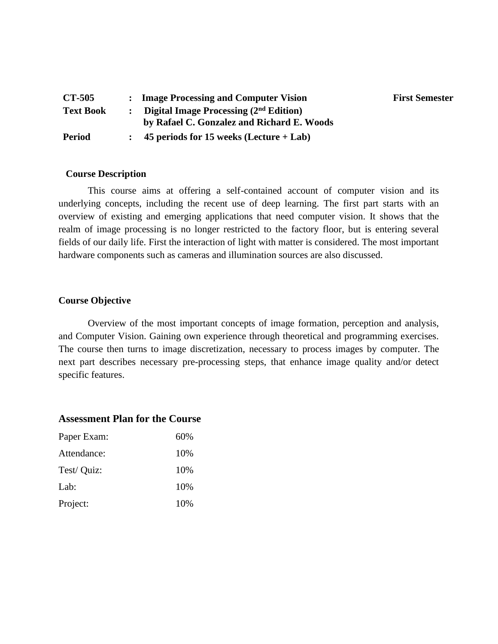| <b>CT-505</b>    | : Image Processing and Computer Vision     | <b>First Semester</b> |
|------------------|--------------------------------------------|-----------------------|
| <b>Text Book</b> | Digital Image Processing $(2nd Edition)$   |                       |
|                  | by Rafael C. Gonzalez and Richard E. Woods |                       |
| <b>Period</b>    | 45 periods for 15 weeks (Lecture $+$ Lab)  |                       |

## **Course Description**

This course aims at offering a self-contained account of computer vision and its underlying concepts, including the recent use of deep learning. The first part starts with an overview of existing and emerging applications that need computer vision. It shows that the realm of image processing is no longer restricted to the factory floor, but is entering several fields of our daily life. First the interaction of light with matter is considered. The most important hardware components such as cameras and illumination sources are also discussed.

## **Course Objective**

Overview of the most important concepts of image formation, perception and analysis, and Computer Vision. Gaining own experience through theoretical and programming exercises. The course then turns to image discretization, necessary to process images by computer. The next part describes necessary pre-processing steps, that enhance image quality and/or detect specific features.

## **Assessment Plan for the Course**

| Paper Exam: | 60% |
|-------------|-----|
| Attendance: | 10% |
| Test/ Quiz: | 10% |
| Lab:        | 10% |
| Project:    | 10% |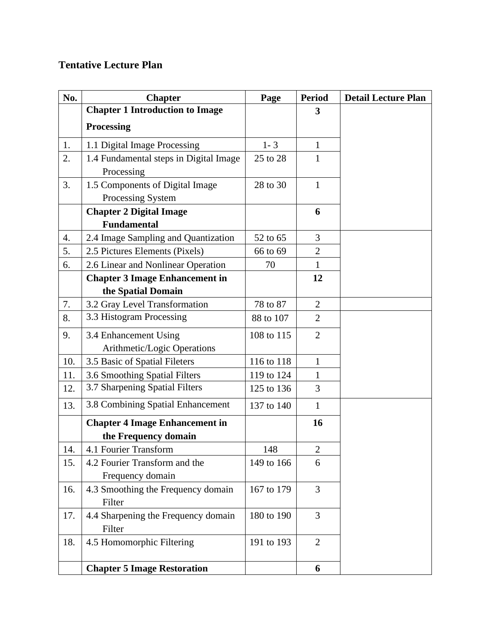## **Tentative Lecture Plan**

| No. | <b>Chapter</b>                         | Page       | <b>Period</b>  | <b>Detail Lecture Plan</b> |
|-----|----------------------------------------|------------|----------------|----------------------------|
|     | <b>Chapter 1 Introduction to Image</b> |            | 3              |                            |
|     | <b>Processing</b>                      |            |                |                            |
| 1.  | 1.1 Digital Image Processing           | $1 - 3$    | $\mathbf{1}$   |                            |
| 2.  | 1.4 Fundamental steps in Digital Image | 25 to 28   | $\mathbf{1}$   |                            |
|     | Processing                             |            |                |                            |
| 3.  | 1.5 Components of Digital Image        | 28 to 30   | $\mathbf{1}$   |                            |
|     | Processing System                      |            |                |                            |
|     | <b>Chapter 2 Digital Image</b>         |            | 6              |                            |
|     | <b>Fundamental</b>                     |            |                |                            |
| 4.  | 2.4 Image Sampling and Quantization    | 52 to 65   | 3              |                            |
| 5.  | 2.5 Pictures Elements (Pixels)         | 66 to 69   | $\overline{2}$ |                            |
| 6.  | 2.6 Linear and Nonlinear Operation     | 70         | $\mathbf{1}$   |                            |
|     | <b>Chapter 3 Image Enhancement in</b>  |            | 12             |                            |
|     | the Spatial Domain                     |            |                |                            |
| 7.  | 3.2 Gray Level Transformation          | 78 to 87   | $\overline{2}$ |                            |
| 8.  | 3.3 Histogram Processing               | 88 to 107  | $\overline{2}$ |                            |
| 9.  | 3.4 Enhancement Using                  | 108 to 115 | $\overline{2}$ |                            |
|     | Arithmetic/Logic Operations            |            |                |                            |
| 10. | 3.5 Basic of Spatial Fileters          | 116 to 118 | $\mathbf{1}$   |                            |
| 11. | 3.6 Smoothing Spatial Filters          | 119 to 124 | $\mathbf{1}$   |                            |
| 12. | 3.7 Sharpening Spatial Filters         | 125 to 136 | 3              |                            |
| 13. | 3.8 Combining Spatial Enhancement      | 137 to 140 | $\mathbf{1}$   |                            |
|     | <b>Chapter 4 Image Enhancement in</b>  |            | 16             |                            |
|     | the Frequency domain                   |            |                |                            |
| 14. | 4.1 Fourier Transform                  | 148        | $\overline{2}$ |                            |
| 15. | 4.2 Fourier Transform and the          | 149 to 166 | 6              |                            |
|     | Frequency domain                       |            |                |                            |
| 16. | 4.3 Smoothing the Frequency domain     | 167 to 179 | 3              |                            |
|     | Filter                                 |            |                |                            |
| 17. | 4.4 Sharpening the Frequency domain    | 180 to 190 | 3              |                            |
|     | Filter                                 |            |                |                            |
| 18. | 4.5 Homomorphic Filtering              | 191 to 193 | $\overline{2}$ |                            |
|     | <b>Chapter 5 Image Restoration</b>     |            | 6              |                            |